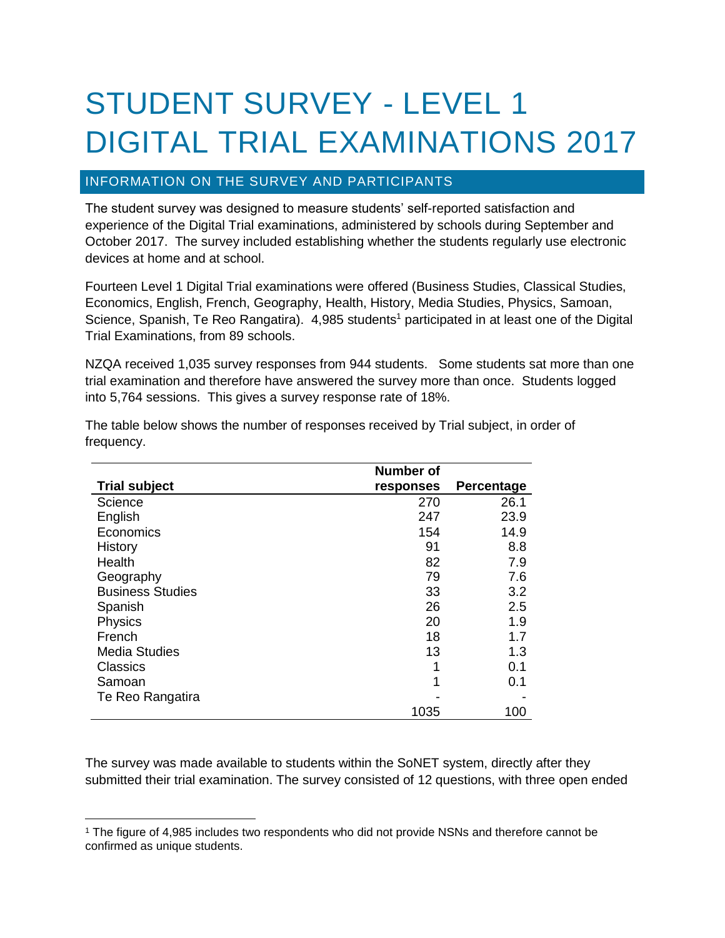# STUDENT SURVEY - LEVEL 1 DIGITAL TRIAL EXAMINATIONS 2017

# INFORMATION ON THE SURVEY AND PARTICIPANTS

The student survey was designed to measure students' self-reported satisfaction and experience of the Digital Trial examinations, administered by schools during September and October 2017. The survey included establishing whether the students regularly use electronic devices at home and at school.

Fourteen Level 1 Digital Trial examinations were offered (Business Studies, Classical Studies, Economics, English, French, Geography, Health, History, Media Studies, Physics, Samoan, Science, Spanish, Te Reo Rangatira). 4,985 students<sup>1</sup> participated in at least one of the Digital Trial Examinations, from 89 schools.

NZQA received 1,035 survey responses from 944 students. Some students sat more than one trial examination and therefore have answered the survey more than once. Students logged into 5,764 sessions. This gives a survey response rate of 18%.

|                         | Number of |            |
|-------------------------|-----------|------------|
| <b>Trial subject</b>    | responses | Percentage |
| Science                 | 270       | 26.1       |
| English                 | 247       | 23.9       |
| Economics               | 154       | 14.9       |
| History                 | 91        | 8.8        |
| Health                  | 82        | 7.9        |
| Geography               | 79        | 7.6        |
| <b>Business Studies</b> | 33        | 3.2        |
| Spanish                 | 26        | 2.5        |
| Physics                 | 20        | 1.9        |
| French                  | 18        | 1.7        |
| <b>Media Studies</b>    | 13        | 1.3        |
| Classics                | 1         | 0.1        |
| Samoan                  | 1         | 0.1        |
| Te Reo Rangatira        |           |            |
|                         | 1035      | 100        |

The table below shows the number of responses received by Trial subject, in order of frequency.

The survey was made available to students within the SoNET system, directly after they submitted their trial examination. The survey consisted of 12 questions, with three open ended

 $\overline{a}$ <sup>1</sup> The figure of 4,985 includes two respondents who did not provide NSNs and therefore cannot be confirmed as unique students.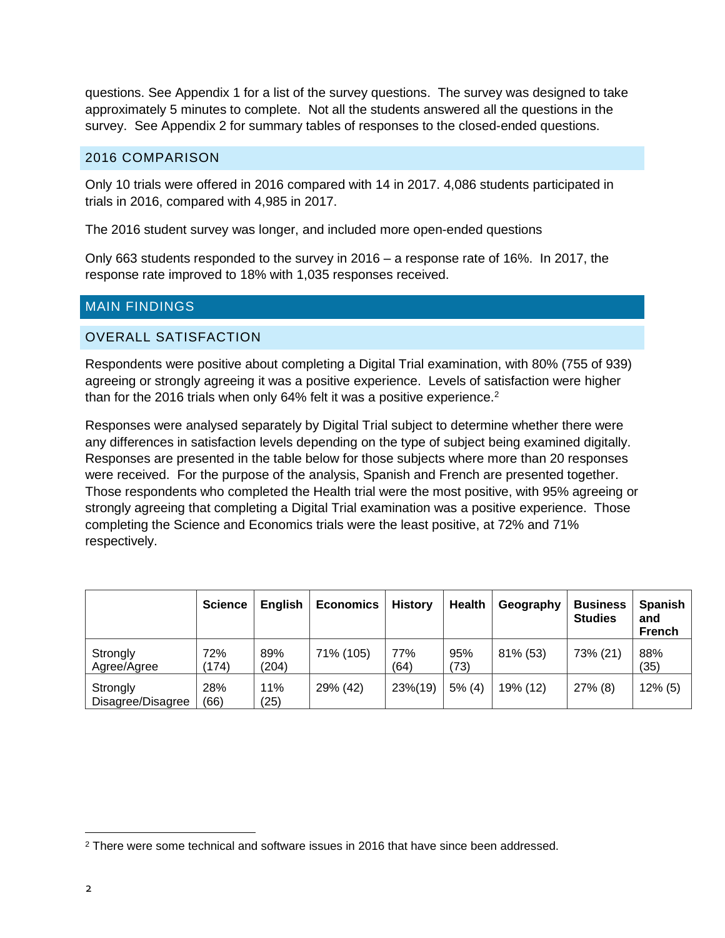questions. See Appendix 1 for a list of the survey questions. The survey was designed to take approximately 5 minutes to complete. Not all the students answered all the questions in the survey. See Appendix 2 for summary tables of responses to the closed-ended questions.

# 2016 COMPARISON

Only 10 trials were offered in 2016 compared with 14 in 2017. 4,086 students participated in trials in 2016, compared with 4,985 in 2017.

The 2016 student survey was longer, and included more open-ended questions

Only 663 students responded to the survey in 2016 – a response rate of 16%. In 2017, the response rate improved to 18% with 1,035 responses received.

# MAIN FINDINGS

### OVERALL SATISFACTION

Respondents were positive about completing a Digital Trial examination, with 80% (755 of 939) agreeing or strongly agreeing it was a positive experience. Levels of satisfaction were higher than for the 2016 trials when only 64% felt it was a positive experience.<sup>2</sup>

Responses were analysed separately by Digital Trial subject to determine whether there were any differences in satisfaction levels depending on the type of subject being examined digitally. Responses are presented in the table below for those subjects where more than 20 responses were received. For the purpose of the analysis, Spanish and French are presented together. Those respondents who completed the Health trial were the most positive, with 95% agreeing or strongly agreeing that completing a Digital Trial examination was a positive experience. Those completing the Science and Economics trials were the least positive, at 72% and 71% respectively.

|                               | <b>Science</b> | <b>English</b> | <b>Economics</b> | <b>History</b> | <b>Health</b> | Geography | <b>Business</b><br><b>Studies</b> | <b>Spanish</b><br>and<br><b>French</b> |
|-------------------------------|----------------|----------------|------------------|----------------|---------------|-----------|-----------------------------------|----------------------------------------|
| Strongly<br>Agree/Agree       | 72%<br>(174)   | 89%<br>(204)   | 71% (105)        | 77%<br>(64)    | 95%<br>(73)   | 81% (53)  | 73% (21)                          | 88%<br>(35)                            |
| Strongly<br>Disagree/Disagree | 28%<br>(66)    | 11%<br>(25)    | 29% (42)         | 23%(19)        | 5% (4)        | 19% (12)  | $27\%$ (8)                        | $12\%$ (5)                             |

 $\overline{a}$ <sup>2</sup> There were some technical and software issues in 2016 that have since been addressed.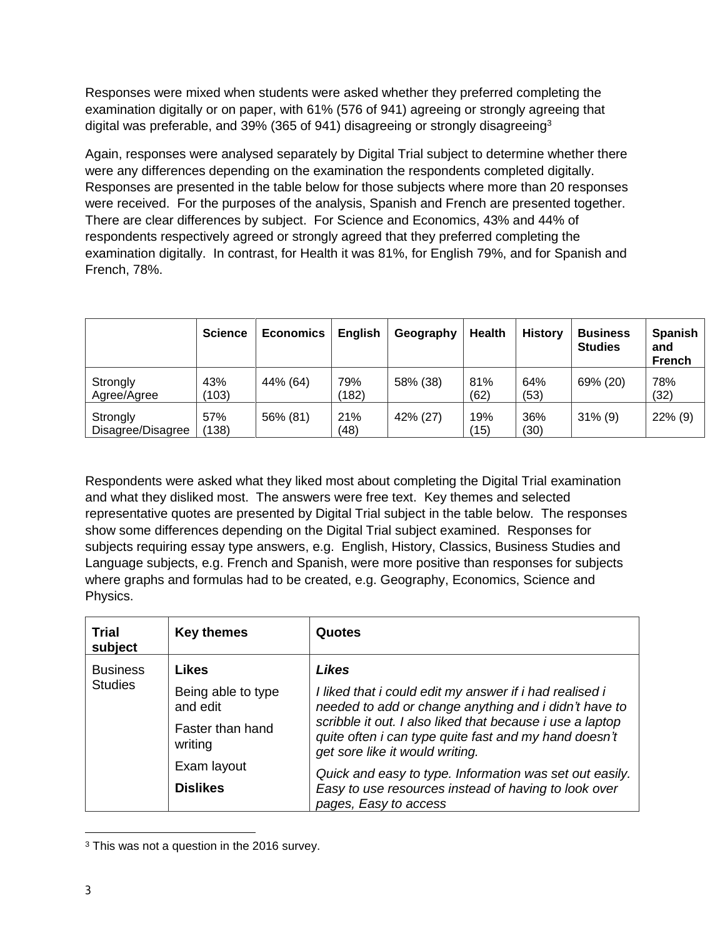Responses were mixed when students were asked whether they preferred completing the examination digitally or on paper, with 61% (576 of 941) agreeing or strongly agreeing that digital was preferable, and 39% (365 of 941) disagreeing or strongly disagreeing<sup>3</sup>

Again, responses were analysed separately by Digital Trial subject to determine whether there were any differences depending on the examination the respondents completed digitally. Responses are presented in the table below for those subjects where more than 20 responses were received. For the purposes of the analysis, Spanish and French are presented together. There are clear differences by subject. For Science and Economics, 43% and 44% of respondents respectively agreed or strongly agreed that they preferred completing the examination digitally. In contrast, for Health it was 81%, for English 79%, and for Spanish and French, 78%.

|                               | <b>Science</b> | <b>Economics</b> | <b>English</b> | Geography | <b>Health</b> | <b>History</b> | <b>Business</b><br><b>Studies</b> | <b>Spanish</b><br>and<br><b>French</b> |
|-------------------------------|----------------|------------------|----------------|-----------|---------------|----------------|-----------------------------------|----------------------------------------|
| Strongly<br>Agree/Agree       | 43%<br>(103)   | 44% (64)         | 79%<br>(182)   | 58% (38)  | 81%<br>(62)   | 64%<br>(53)    | 69% (20)                          | 78%<br>(32)                            |
| Strongly<br>Disagree/Disagree | 57%<br>(138)   | 56% (81)         | 21%<br>(48)    | 42% (27)  | 19%<br>(15)   | 36%<br>(30)    | $31\%$ (9)                        | 22% (9)                                |

Respondents were asked what they liked most about completing the Digital Trial examination and what they disliked most. The answers were free text. Key themes and selected representative quotes are presented by Digital Trial subject in the table below. The responses show some differences depending on the Digital Trial subject examined. Responses for subjects requiring essay type answers, e.g. English, History, Classics, Business Studies and Language subjects, e.g. French and Spanish, were more positive than responses for subjects where graphs and formulas had to be created, e.g. Geography, Economics, Science and Physics.

| <b>Trial</b><br>subject | <b>Key themes</b>                                | Quotes                                                                                                                                                |
|-------------------------|--------------------------------------------------|-------------------------------------------------------------------------------------------------------------------------------------------------------|
| <b>Business</b>         | Likes                                            | <b>Likes</b>                                                                                                                                          |
|                         | <b>Studies</b><br>Being able to type<br>and edit | I liked that i could edit my answer if i had realised i<br>needed to add or change anything and i didn't have to                                      |
|                         | Faster than hand<br>writing                      | scribble it out. I also liked that because i use a laptop<br>quite often i can type quite fast and my hand doesn't<br>get sore like it would writing. |
|                         | Exam layout                                      | Quick and easy to type. Information was set out easily.                                                                                               |
|                         | <b>Dislikes</b>                                  | Easy to use resources instead of having to look over<br>pages, Easy to access                                                                         |

 $\overline{a}$ <sup>3</sup> This was not a question in the 2016 survey.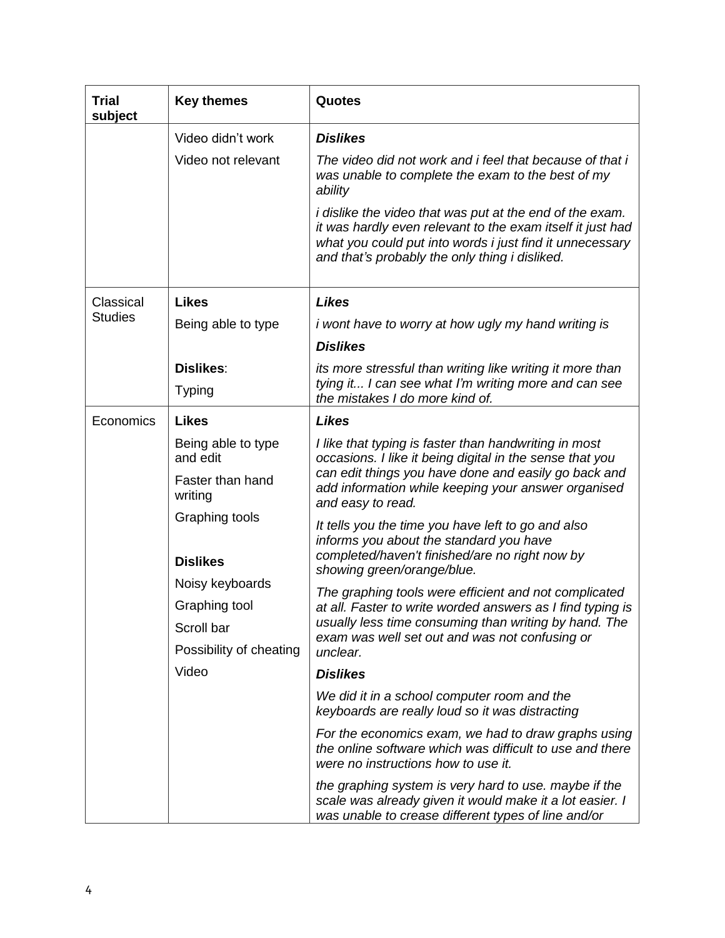| Trial<br>subject | <b>Key themes</b>           | Quotes                                                                                                                                                                                                                                      |
|------------------|-----------------------------|---------------------------------------------------------------------------------------------------------------------------------------------------------------------------------------------------------------------------------------------|
|                  | Video didn't work           | <b>Dislikes</b>                                                                                                                                                                                                                             |
|                  | Video not relevant          | The video did not work and i feel that because of that i<br>was unable to complete the exam to the best of my<br>ability                                                                                                                    |
|                  |                             | <i>i</i> dislike the video that was put at the end of the exam.<br>it was hardly even relevant to the exam itself it just had<br>what you could put into words i just find it unnecessary<br>and that's probably the only thing i disliked. |
| Classical        | <b>Likes</b>                | <b>Likes</b>                                                                                                                                                                                                                                |
| <b>Studies</b>   | Being able to type          | <i>i</i> wont have to worry at how ugly my hand writing is                                                                                                                                                                                  |
|                  |                             | <b>Dislikes</b>                                                                                                                                                                                                                             |
|                  | <b>Dislikes:</b>            | its more stressful than writing like writing it more than                                                                                                                                                                                   |
|                  | <b>Typing</b>               | tying it I can see what I'm writing more and can see<br>the mistakes I do more kind of.                                                                                                                                                     |
| Economics        | <b>Likes</b>                | <b>Likes</b>                                                                                                                                                                                                                                |
|                  | Being able to type          | I like that typing is faster than handwriting in most                                                                                                                                                                                       |
|                  | and edit                    | occasions. I like it being digital in the sense that you<br>can edit things you have done and easily go back and                                                                                                                            |
|                  | Faster than hand<br>writing | add information while keeping your answer organised<br>and easy to read.                                                                                                                                                                    |
|                  | Graphing tools              | It tells you the time you have left to go and also                                                                                                                                                                                          |
|                  |                             | informs you about the standard you have<br>completed/haven't finished/are no right now by                                                                                                                                                   |
|                  | <b>Dislikes</b>             | showing green/orange/blue.                                                                                                                                                                                                                  |
|                  | Noisy keyboards             | The graphing tools were efficient and not complicated                                                                                                                                                                                       |
|                  | Graphing tool               | at all. Faster to write worded answers as I find typing is<br>usually less time consuming than writing by hand. The                                                                                                                         |
|                  | Scroll bar                  | exam was well set out and was not confusing or                                                                                                                                                                                              |
|                  | Possibility of cheating     | unclear.                                                                                                                                                                                                                                    |
|                  | Video                       | <b>Dislikes</b>                                                                                                                                                                                                                             |
|                  |                             | We did it in a school computer room and the<br>keyboards are really loud so it was distracting                                                                                                                                              |
|                  |                             | For the economics exam, we had to draw graphs using<br>the online software which was difficult to use and there<br>were no instructions how to use it.                                                                                      |
|                  |                             | the graphing system is very hard to use. maybe if the<br>scale was already given it would make it a lot easier. I<br>was unable to crease different types of line and/or                                                                    |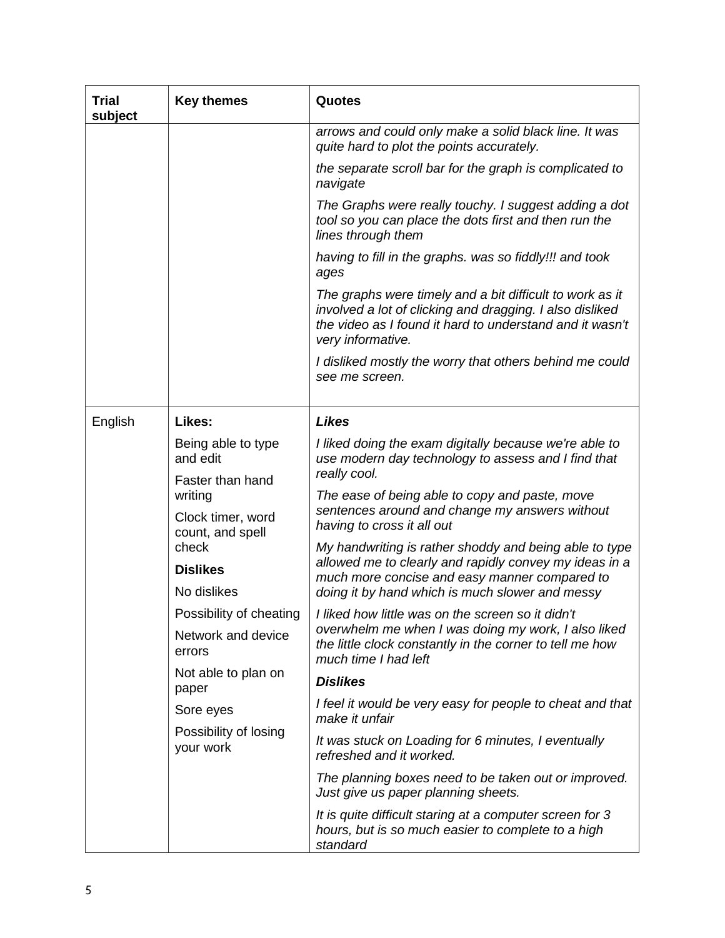| Trial<br>subject | <b>Key themes</b>                     | <b>Quotes</b>                                                                                                                                                                                         |
|------------------|---------------------------------------|-------------------------------------------------------------------------------------------------------------------------------------------------------------------------------------------------------|
|                  |                                       | arrows and could only make a solid black line. It was<br>quite hard to plot the points accurately.                                                                                                    |
|                  |                                       | the separate scroll bar for the graph is complicated to<br>navigate                                                                                                                                   |
|                  |                                       | The Graphs were really touchy. I suggest adding a dot<br>tool so you can place the dots first and then run the<br>lines through them                                                                  |
|                  |                                       | having to fill in the graphs. was so fiddly!!! and took<br>ages                                                                                                                                       |
|                  |                                       | The graphs were timely and a bit difficult to work as it<br>involved a lot of clicking and dragging. I also disliked<br>the video as I found it hard to understand and it wasn't<br>very informative. |
|                  |                                       | I disliked mostly the worry that others behind me could<br>see me screen.                                                                                                                             |
| English          | Likes:                                | <b>Likes</b>                                                                                                                                                                                          |
|                  | Being able to type<br>and edit        | I liked doing the exam digitally because we're able to<br>use modern day technology to assess and I find that<br>really cool.                                                                         |
|                  | Faster than hand<br>writing           | The ease of being able to copy and paste, move                                                                                                                                                        |
|                  | Clock timer, word<br>count, and spell | sentences around and change my answers without<br>having to cross it all out                                                                                                                          |
|                  | check                                 | My handwriting is rather shoddy and being able to type<br>allowed me to clearly and rapidly convey my ideas in a                                                                                      |
|                  | <b>Dislikes</b><br>No dislikes        | much more concise and easy manner compared to<br>doing it by hand which is much slower and messy                                                                                                      |
|                  | Possibility of cheating               | I liked how little was on the screen so it didn't                                                                                                                                                     |
|                  | Network and device<br>errors          | overwhelm me when I was doing my work, I also liked<br>the little clock constantly in the corner to tell me how<br>much time I had left                                                               |
|                  | Not able to plan on                   | <b>Dislikes</b>                                                                                                                                                                                       |
|                  | paper<br>Sore eyes                    | I feel it would be very easy for people to cheat and that                                                                                                                                             |
|                  | Possibility of losing<br>your work    | make it unfair<br>It was stuck on Loading for 6 minutes, I eventually                                                                                                                                 |
|                  |                                       | refreshed and it worked.                                                                                                                                                                              |
|                  |                                       | The planning boxes need to be taken out or improved.<br>Just give us paper planning sheets.                                                                                                           |
|                  |                                       | It is quite difficult staring at a computer screen for 3<br>hours, but is so much easier to complete to a high<br>standard                                                                            |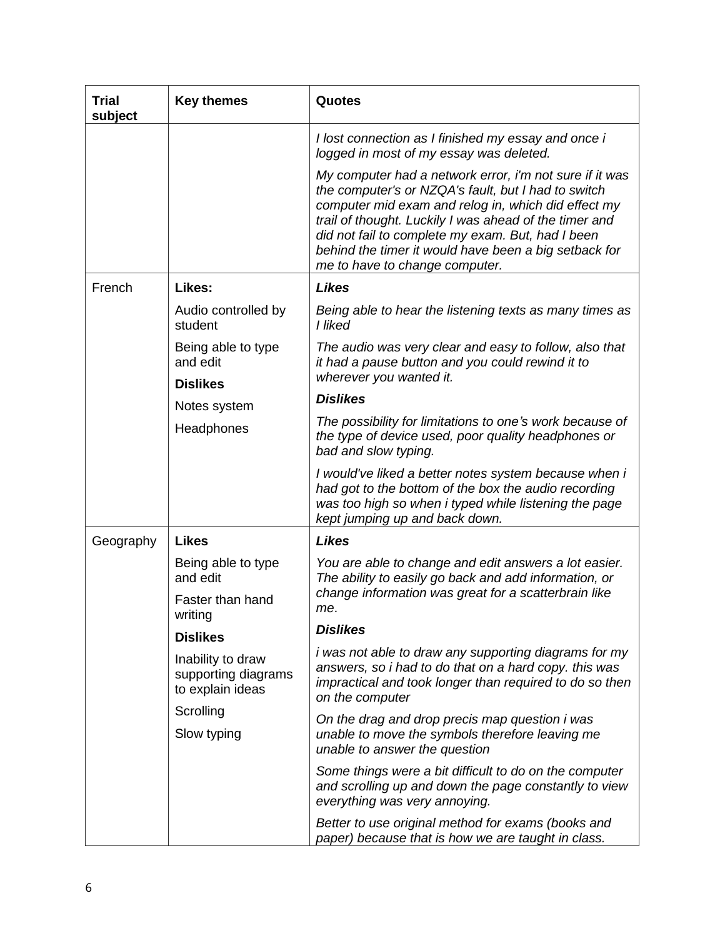| <b>Trial</b><br>subject | <b>Key themes</b>                                            | Quotes                                                                                                                                                                                                                                                                                                                                                                          |
|-------------------------|--------------------------------------------------------------|---------------------------------------------------------------------------------------------------------------------------------------------------------------------------------------------------------------------------------------------------------------------------------------------------------------------------------------------------------------------------------|
|                         |                                                              | I lost connection as I finished my essay and once i<br>logged in most of my essay was deleted.                                                                                                                                                                                                                                                                                  |
|                         |                                                              | My computer had a network error, i'm not sure if it was<br>the computer's or NZQA's fault, but I had to switch<br>computer mid exam and relog in, which did effect my<br>trail of thought. Luckily I was ahead of the timer and<br>did not fail to complete my exam. But, had I been<br>behind the timer it would have been a big setback for<br>me to have to change computer. |
| French                  | Likes:                                                       | <b>Likes</b>                                                                                                                                                                                                                                                                                                                                                                    |
|                         | Audio controlled by<br>student                               | Being able to hear the listening texts as many times as<br>I liked                                                                                                                                                                                                                                                                                                              |
|                         | Being able to type<br>and edit<br><b>Dislikes</b>            | The audio was very clear and easy to follow, also that<br>it had a pause button and you could rewind it to<br>wherever you wanted it.                                                                                                                                                                                                                                           |
|                         | Notes system                                                 | <b>Dislikes</b>                                                                                                                                                                                                                                                                                                                                                                 |
|                         | Headphones                                                   | The possibility for limitations to one's work because of<br>the type of device used, poor quality headphones or<br>bad and slow typing.                                                                                                                                                                                                                                         |
|                         |                                                              | I would've liked a better notes system because when i<br>had got to the bottom of the box the audio recording<br>was too high so when i typed while listening the page<br>kept jumping up and back down.                                                                                                                                                                        |
| Geography               | <b>Likes</b>                                                 | <b>Likes</b>                                                                                                                                                                                                                                                                                                                                                                    |
|                         | Being able to type<br>and edit                               | You are able to change and edit answers a lot easier.<br>The ability to easily go back and add information, or                                                                                                                                                                                                                                                                  |
|                         | Faster than hand<br>writing                                  | change information was great for a scatterbrain like<br>me.                                                                                                                                                                                                                                                                                                                     |
|                         | <b>Dislikes</b>                                              | <b>Dislikes</b>                                                                                                                                                                                                                                                                                                                                                                 |
|                         | Inability to draw<br>supporting diagrams<br>to explain ideas | <i>i</i> was not able to draw any supporting diagrams for my<br>answers, so i had to do that on a hard copy. this was<br>impractical and took longer than required to do so then<br>on the computer                                                                                                                                                                             |
|                         | Scrolling<br>Slow typing                                     | On the drag and drop precis map question i was<br>unable to move the symbols therefore leaving me<br>unable to answer the question                                                                                                                                                                                                                                              |
|                         |                                                              | Some things were a bit difficult to do on the computer<br>and scrolling up and down the page constantly to view<br>everything was very annoying.                                                                                                                                                                                                                                |
|                         |                                                              | Better to use original method for exams (books and<br>paper) because that is how we are taught in class.                                                                                                                                                                                                                                                                        |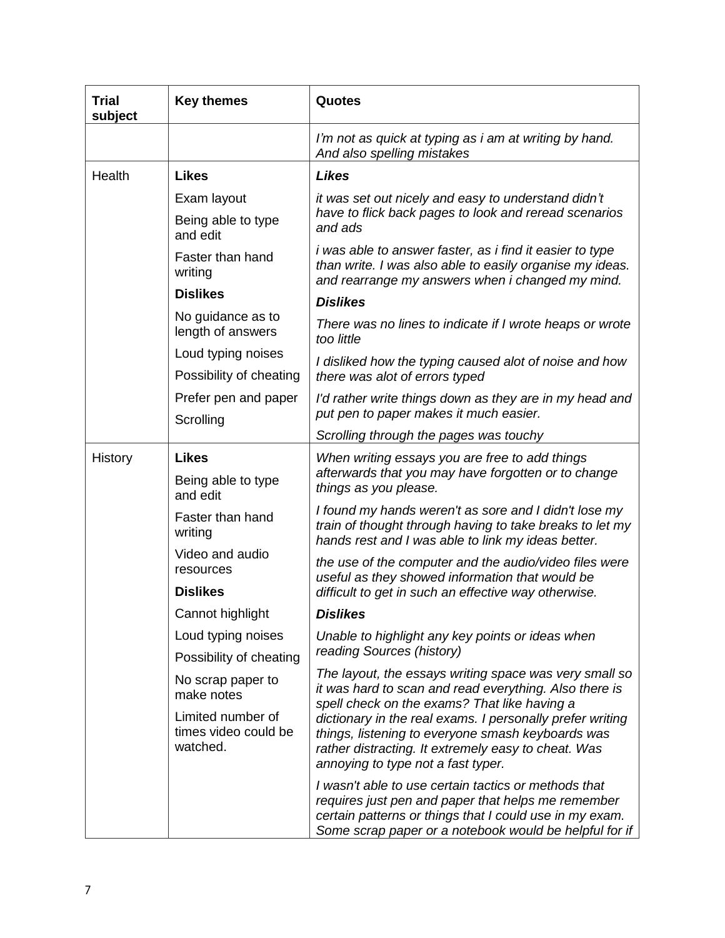| Trial<br>subject                                      | <b>Key themes</b>                                                                                                                                                                                           | Quotes                                                                                                                                                                                                                          |
|-------------------------------------------------------|-------------------------------------------------------------------------------------------------------------------------------------------------------------------------------------------------------------|---------------------------------------------------------------------------------------------------------------------------------------------------------------------------------------------------------------------------------|
|                                                       |                                                                                                                                                                                                             | I'm not as quick at typing as i am at writing by hand.<br>And also spelling mistakes                                                                                                                                            |
| Health                                                | <b>Likes</b>                                                                                                                                                                                                | <b>Likes</b>                                                                                                                                                                                                                    |
|                                                       | Exam layout                                                                                                                                                                                                 | it was set out nicely and easy to understand didn't                                                                                                                                                                             |
|                                                       | Being able to type<br>and edit                                                                                                                                                                              | have to flick back pages to look and reread scenarios<br>and ads                                                                                                                                                                |
|                                                       | Faster than hand<br>writing                                                                                                                                                                                 | <i>i</i> was able to answer faster, as <i>i</i> find it easier to type<br>than write. I was also able to easily organise my ideas.<br>and rearrange my answers when i changed my mind.                                          |
|                                                       | <b>Dislikes</b>                                                                                                                                                                                             | <b>Dislikes</b>                                                                                                                                                                                                                 |
|                                                       | No guidance as to<br>length of answers                                                                                                                                                                      | There was no lines to indicate if I wrote heaps or wrote<br>too little                                                                                                                                                          |
|                                                       | Loud typing noises                                                                                                                                                                                          | I disliked how the typing caused alot of noise and how                                                                                                                                                                          |
|                                                       | Possibility of cheating                                                                                                                                                                                     | there was alot of errors typed                                                                                                                                                                                                  |
|                                                       | Prefer pen and paper                                                                                                                                                                                        | I'd rather write things down as they are in my head and                                                                                                                                                                         |
|                                                       | Scrolling                                                                                                                                                                                                   | put pen to paper makes it much easier.                                                                                                                                                                                          |
|                                                       |                                                                                                                                                                                                             | Scrolling through the pages was touchy                                                                                                                                                                                          |
|                                                       | History<br><b>Likes</b><br>Being able to type<br>and edit                                                                                                                                                   | When writing essays you are free to add things<br>afterwards that you may have forgotten or to change<br>things as you please.                                                                                                  |
|                                                       | Faster than hand<br>writing                                                                                                                                                                                 | I found my hands weren't as sore and I didn't lose my<br>train of thought through having to take breaks to let my<br>hands rest and I was able to link my ideas better.                                                         |
|                                                       | Video and audio<br>resources                                                                                                                                                                                | the use of the computer and the audio/video files were<br>useful as they showed information that would be                                                                                                                       |
|                                                       | <b>Dislikes</b>                                                                                                                                                                                             | difficult to get in such an effective way otherwise.                                                                                                                                                                            |
|                                                       | Cannot highlight                                                                                                                                                                                            | <b>Dislikes</b>                                                                                                                                                                                                                 |
|                                                       | Loud typing noises                                                                                                                                                                                          | Unable to highlight any key points or ideas when                                                                                                                                                                                |
|                                                       | Possibility of cheating                                                                                                                                                                                     | reading Sources (history)                                                                                                                                                                                                       |
|                                                       | No scrap paper to<br>make notes                                                                                                                                                                             | The layout, the essays writing space was very small so<br>it was hard to scan and read everything. Also there is<br>spell check on the exams? That like having a                                                                |
| Limited number of<br>times video could be<br>watched. | dictionary in the real exams. I personally prefer writing<br>things, listening to everyone smash keyboards was<br>rather distracting. It extremely easy to cheat. Was<br>annoying to type not a fast typer. |                                                                                                                                                                                                                                 |
|                                                       |                                                                                                                                                                                                             | I wasn't able to use certain tactics or methods that<br>requires just pen and paper that helps me remember<br>certain patterns or things that I could use in my exam.<br>Some scrap paper or a notebook would be helpful for if |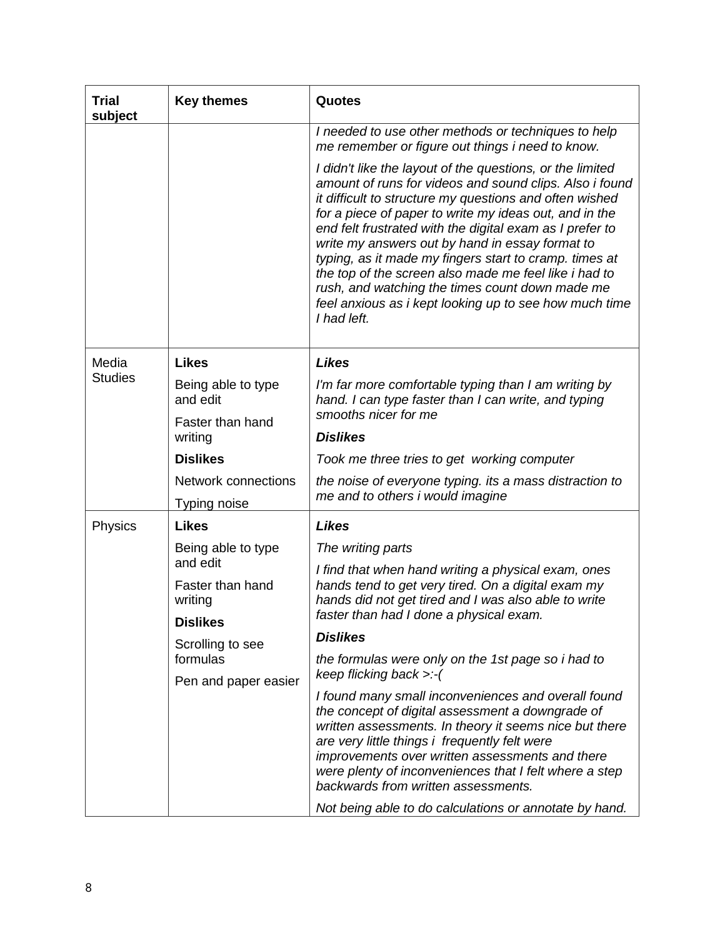| Trial<br>subject | <b>Key themes</b>                                                                | Quotes                                                                                                                                                                                                                                                                                                                                                                                                                                                                                                                                                                                                  |
|------------------|----------------------------------------------------------------------------------|---------------------------------------------------------------------------------------------------------------------------------------------------------------------------------------------------------------------------------------------------------------------------------------------------------------------------------------------------------------------------------------------------------------------------------------------------------------------------------------------------------------------------------------------------------------------------------------------------------|
|                  |                                                                                  | I needed to use other methods or techniques to help<br>me remember or figure out things i need to know.                                                                                                                                                                                                                                                                                                                                                                                                                                                                                                 |
|                  |                                                                                  | I didn't like the layout of the questions, or the limited<br>amount of runs for videos and sound clips. Also i found<br>it difficult to structure my questions and often wished<br>for a piece of paper to write my ideas out, and in the<br>end felt frustrated with the digital exam as I prefer to<br>write my answers out by hand in essay format to<br>typing, as it made my fingers start to cramp. times at<br>the top of the screen also made me feel like i had to<br>rush, and watching the times count down made me<br>feel anxious as i kept looking up to see how much time<br>I had left. |
| Media            | <b>Likes</b>                                                                     | <b>Likes</b>                                                                                                                                                                                                                                                                                                                                                                                                                                                                                                                                                                                            |
| <b>Studies</b>   | Being able to type<br>and edit<br>Faster than hand<br>writing<br><b>Dislikes</b> | I'm far more comfortable typing than I am writing by<br>hand. I can type faster than I can write, and typing                                                                                                                                                                                                                                                                                                                                                                                                                                                                                            |
|                  |                                                                                  | smooths nicer for me<br><b>Dislikes</b>                                                                                                                                                                                                                                                                                                                                                                                                                                                                                                                                                                 |
|                  |                                                                                  | Took me three tries to get working computer                                                                                                                                                                                                                                                                                                                                                                                                                                                                                                                                                             |
|                  | <b>Network connections</b>                                                       | the noise of everyone typing. its a mass distraction to                                                                                                                                                                                                                                                                                                                                                                                                                                                                                                                                                 |
|                  | Typing noise                                                                     | me and to others i would imagine                                                                                                                                                                                                                                                                                                                                                                                                                                                                                                                                                                        |
| Physics          | <b>Likes</b>                                                                     | <b>Likes</b>                                                                                                                                                                                                                                                                                                                                                                                                                                                                                                                                                                                            |
|                  | Being able to type                                                               | The writing parts                                                                                                                                                                                                                                                                                                                                                                                                                                                                                                                                                                                       |
|                  | and edit<br>Faster than hand<br>writing                                          | I find that when hand writing a physical exam, ones<br>hands tend to get very tired. On a digital exam my<br>hands did not get tired and I was also able to write                                                                                                                                                                                                                                                                                                                                                                                                                                       |
|                  | <b>Dislikes</b>                                                                  | faster than had I done a physical exam.                                                                                                                                                                                                                                                                                                                                                                                                                                                                                                                                                                 |
|                  | Scrolling to see                                                                 | <b>Dislikes</b>                                                                                                                                                                                                                                                                                                                                                                                                                                                                                                                                                                                         |
|                  | formulas                                                                         | the formulas were only on the 1st page so i had to<br>keep flicking back >:-(                                                                                                                                                                                                                                                                                                                                                                                                                                                                                                                           |
|                  | Pen and paper easier                                                             | I found many small inconveniences and overall found<br>the concept of digital assessment a downgrade of<br>written assessments. In theory it seems nice but there<br>are very little things i frequently felt were<br>improvements over written assessments and there<br>were plenty of inconveniences that I felt where a step<br>backwards from written assessments.<br>Not being able to do calculations or annotate by hand.                                                                                                                                                                        |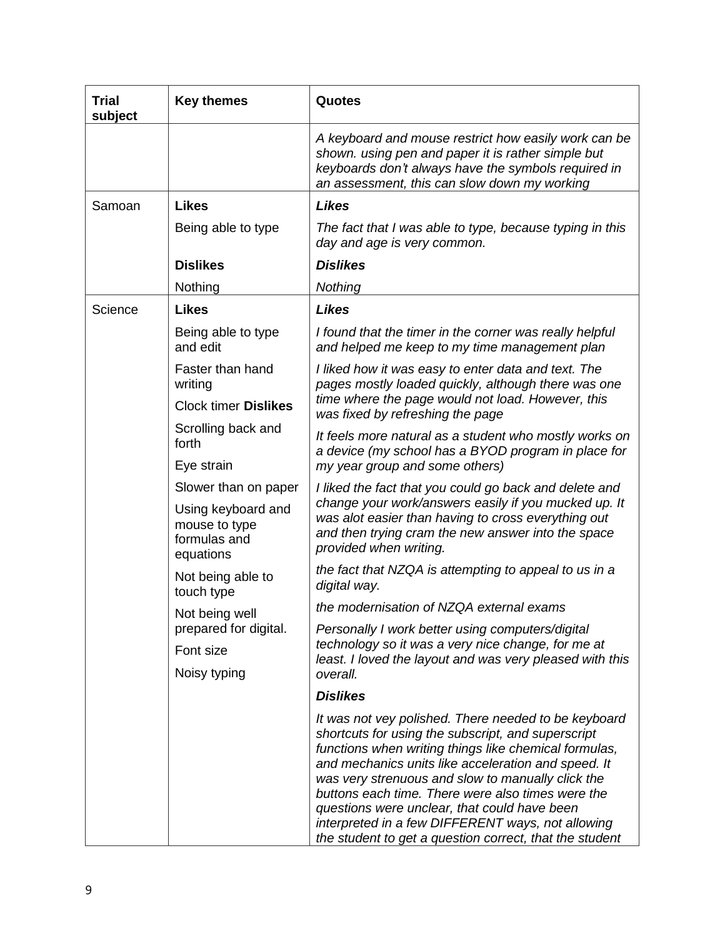| Trial<br>subject | <b>Key themes</b>                                                | Quotes                                                                                                                                                                                                                                                                                                                                                                                                                                                                                               |
|------------------|------------------------------------------------------------------|------------------------------------------------------------------------------------------------------------------------------------------------------------------------------------------------------------------------------------------------------------------------------------------------------------------------------------------------------------------------------------------------------------------------------------------------------------------------------------------------------|
|                  |                                                                  | A keyboard and mouse restrict how easily work can be<br>shown. using pen and paper it is rather simple but<br>keyboards don't always have the symbols required in<br>an assessment, this can slow down my working                                                                                                                                                                                                                                                                                    |
| Samoan           | <b>Likes</b>                                                     | <b>Likes</b>                                                                                                                                                                                                                                                                                                                                                                                                                                                                                         |
|                  | Being able to type                                               | The fact that I was able to type, because typing in this<br>day and age is very common.                                                                                                                                                                                                                                                                                                                                                                                                              |
|                  | <b>Dislikes</b>                                                  | <b>Dislikes</b>                                                                                                                                                                                                                                                                                                                                                                                                                                                                                      |
|                  | Nothing                                                          | Nothing                                                                                                                                                                                                                                                                                                                                                                                                                                                                                              |
| Science          | <b>Likes</b>                                                     | <b>Likes</b>                                                                                                                                                                                                                                                                                                                                                                                                                                                                                         |
|                  | Being able to type<br>and edit                                   | I found that the timer in the corner was really helpful<br>and helped me keep to my time management plan                                                                                                                                                                                                                                                                                                                                                                                             |
|                  | Faster than hand<br>writing                                      | I liked how it was easy to enter data and text. The<br>pages mostly loaded quickly, although there was one                                                                                                                                                                                                                                                                                                                                                                                           |
|                  | <b>Clock timer Dislikes</b>                                      | time where the page would not load. However, this<br>was fixed by refreshing the page                                                                                                                                                                                                                                                                                                                                                                                                                |
|                  | Scrolling back and<br>forth                                      | It feels more natural as a student who mostly works on<br>a device (my school has a BYOD program in place for                                                                                                                                                                                                                                                                                                                                                                                        |
|                  | Eye strain                                                       | my year group and some others)                                                                                                                                                                                                                                                                                                                                                                                                                                                                       |
|                  | Slower than on paper                                             | I liked the fact that you could go back and delete and                                                                                                                                                                                                                                                                                                                                                                                                                                               |
|                  | Using keyboard and<br>mouse to type<br>formulas and<br>equations | change your work/answers easily if you mucked up. It<br>was alot easier than having to cross everything out<br>and then trying cram the new answer into the space<br>provided when writing.                                                                                                                                                                                                                                                                                                          |
|                  | Not being able to<br>touch type                                  | the fact that NZQA is attempting to appeal to us in a<br>digital way.                                                                                                                                                                                                                                                                                                                                                                                                                                |
|                  | Not being well                                                   | the modernisation of NZQA external exams                                                                                                                                                                                                                                                                                                                                                                                                                                                             |
|                  | prepared for digital.                                            | Personally I work better using computers/digital                                                                                                                                                                                                                                                                                                                                                                                                                                                     |
|                  | Font size                                                        | technology so it was a very nice change, for me at<br>least. I loved the layout and was very pleased with this                                                                                                                                                                                                                                                                                                                                                                                       |
|                  | Noisy typing                                                     | overall.                                                                                                                                                                                                                                                                                                                                                                                                                                                                                             |
|                  |                                                                  | <b>Dislikes</b>                                                                                                                                                                                                                                                                                                                                                                                                                                                                                      |
|                  |                                                                  | It was not vey polished. There needed to be keyboard<br>shortcuts for using the subscript, and superscript<br>functions when writing things like chemical formulas,<br>and mechanics units like acceleration and speed. It<br>was very strenuous and slow to manually click the<br>buttons each time. There were also times were the<br>questions were unclear, that could have been<br>interpreted in a few DIFFERENT ways, not allowing<br>the student to get a question correct, that the student |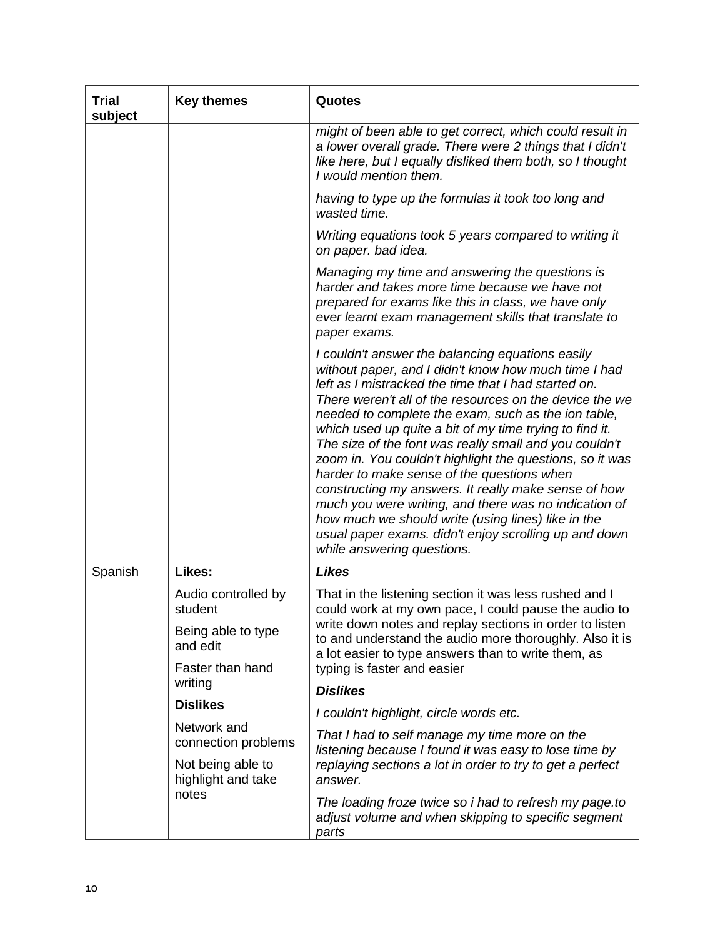| Trial<br>subject                   | <b>Key themes</b>                                                                                                      | Quotes                                                                                                                                                                                                                                                                                                                                                                                                                                                                                                                                                                                                                                                                                                                                                                          |
|------------------------------------|------------------------------------------------------------------------------------------------------------------------|---------------------------------------------------------------------------------------------------------------------------------------------------------------------------------------------------------------------------------------------------------------------------------------------------------------------------------------------------------------------------------------------------------------------------------------------------------------------------------------------------------------------------------------------------------------------------------------------------------------------------------------------------------------------------------------------------------------------------------------------------------------------------------|
|                                    |                                                                                                                        | might of been able to get correct, which could result in<br>a lower overall grade. There were 2 things that I didn't<br>like here, but I equally disliked them both, so I thought<br>I would mention them.                                                                                                                                                                                                                                                                                                                                                                                                                                                                                                                                                                      |
|                                    |                                                                                                                        | having to type up the formulas it took too long and<br>wasted time.                                                                                                                                                                                                                                                                                                                                                                                                                                                                                                                                                                                                                                                                                                             |
|                                    |                                                                                                                        | Writing equations took 5 years compared to writing it<br>on paper. bad idea.                                                                                                                                                                                                                                                                                                                                                                                                                                                                                                                                                                                                                                                                                                    |
|                                    |                                                                                                                        | Managing my time and answering the questions is<br>harder and takes more time because we have not<br>prepared for exams like this in class, we have only<br>ever learnt exam management skills that translate to<br>paper exams.                                                                                                                                                                                                                                                                                                                                                                                                                                                                                                                                                |
|                                    |                                                                                                                        | I couldn't answer the balancing equations easily<br>without paper, and I didn't know how much time I had<br>left as I mistracked the time that I had started on.<br>There weren't all of the resources on the device the we<br>needed to complete the exam, such as the ion table,<br>which used up quite a bit of my time trying to find it.<br>The size of the font was really small and you couldn't<br>zoom in. You couldn't highlight the questions, so it was<br>harder to make sense of the questions when<br>constructing my answers. It really make sense of how<br>much you were writing, and there was no indication of<br>how much we should write (using lines) like in the<br>usual paper exams. didn't enjoy scrolling up and down<br>while answering questions. |
| Spanish                            | Likes:                                                                                                                 | <b>Likes</b>                                                                                                                                                                                                                                                                                                                                                                                                                                                                                                                                                                                                                                                                                                                                                                    |
|                                    | Audio controlled by<br>student<br>Being able to type<br>and edit<br>Faster than hand                                   | That in the listening section it was less rushed and I<br>could work at my own pace, I could pause the audio to<br>write down notes and replay sections in order to listen<br>to and understand the audio more thoroughly. Also it is<br>a lot easier to type answers than to write them, as<br>typing is faster and easier                                                                                                                                                                                                                                                                                                                                                                                                                                                     |
|                                    | writing                                                                                                                | <b>Dislikes</b>                                                                                                                                                                                                                                                                                                                                                                                                                                                                                                                                                                                                                                                                                                                                                                 |
|                                    | <b>Dislikes</b>                                                                                                        | I couldn't highlight, circle words etc.                                                                                                                                                                                                                                                                                                                                                                                                                                                                                                                                                                                                                                                                                                                                         |
| Network and<br>connection problems | That I had to self manage my time more on the<br>listening because I found it was easy to lose time by                 |                                                                                                                                                                                                                                                                                                                                                                                                                                                                                                                                                                                                                                                                                                                                                                                 |
|                                    | Not being able to<br>highlight and take                                                                                | replaying sections a lot in order to try to get a perfect<br>answer.                                                                                                                                                                                                                                                                                                                                                                                                                                                                                                                                                                                                                                                                                                            |
| notes                              | The loading froze twice so i had to refresh my page.to<br>adjust volume and when skipping to specific segment<br>parts |                                                                                                                                                                                                                                                                                                                                                                                                                                                                                                                                                                                                                                                                                                                                                                                 |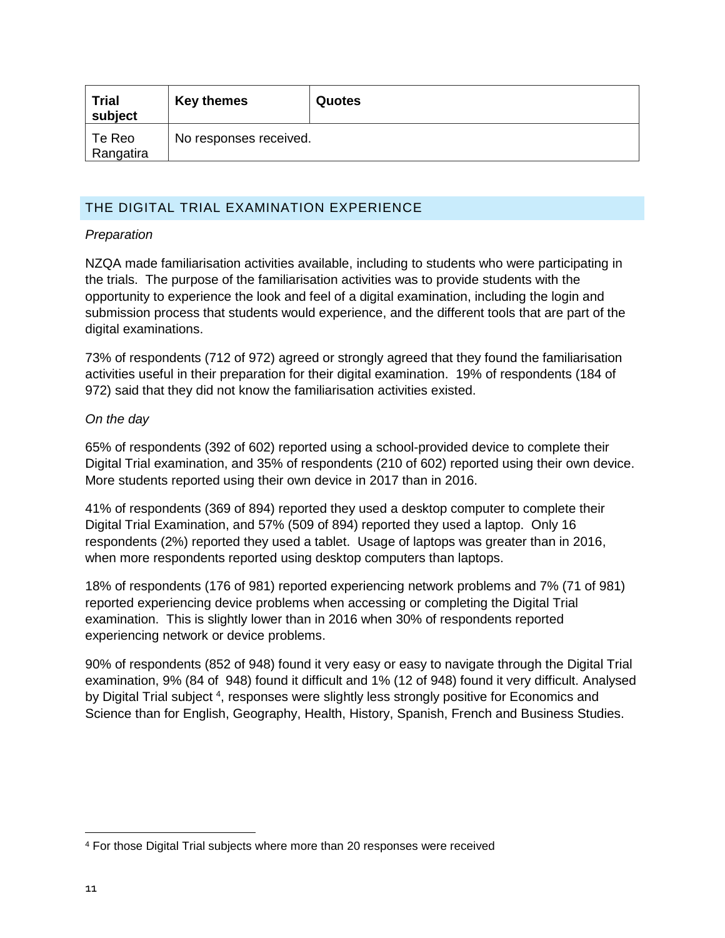| <b>Trial</b><br>subject | <b>Key themes</b>      | <b>Quotes</b> |
|-------------------------|------------------------|---------------|
| Te Reo<br>Rangatira     | No responses received. |               |

# THE DIGITAL TRIAL EXAMINATION EXPERIENCE

# *Preparation*

NZQA made familiarisation activities available, including to students who were participating in the trials. The purpose of the familiarisation activities was to provide students with the opportunity to experience the look and feel of a digital examination, including the login and submission process that students would experience, and the different tools that are part of the digital examinations.

73% of respondents (712 of 972) agreed or strongly agreed that they found the familiarisation activities useful in their preparation for their digital examination. 19% of respondents (184 of 972) said that they did not know the familiarisation activities existed.

# *On the day*

65% of respondents (392 of 602) reported using a school-provided device to complete their Digital Trial examination, and 35% of respondents (210 of 602) reported using their own device. More students reported using their own device in 2017 than in 2016.

41% of respondents (369 of 894) reported they used a desktop computer to complete their Digital Trial Examination, and 57% (509 of 894) reported they used a laptop. Only 16 respondents (2%) reported they used a tablet. Usage of laptops was greater than in 2016, when more respondents reported using desktop computers than laptops.

18% of respondents (176 of 981) reported experiencing network problems and 7% (71 of 981) reported experiencing device problems when accessing or completing the Digital Trial examination. This is slightly lower than in 2016 when 30% of respondents reported experiencing network or device problems.

90% of respondents (852 of 948) found it very easy or easy to navigate through the Digital Trial examination, 9% (84 of 948) found it difficult and 1% (12 of 948) found it very difficult. Analysed by Digital Trial subject <sup>4</sup>, responses were slightly less strongly positive for Economics and Science than for English, Geography, Health, History, Spanish, French and Business Studies.

 $\overline{a}$ 

<sup>4</sup> For those Digital Trial subjects where more than 20 responses were received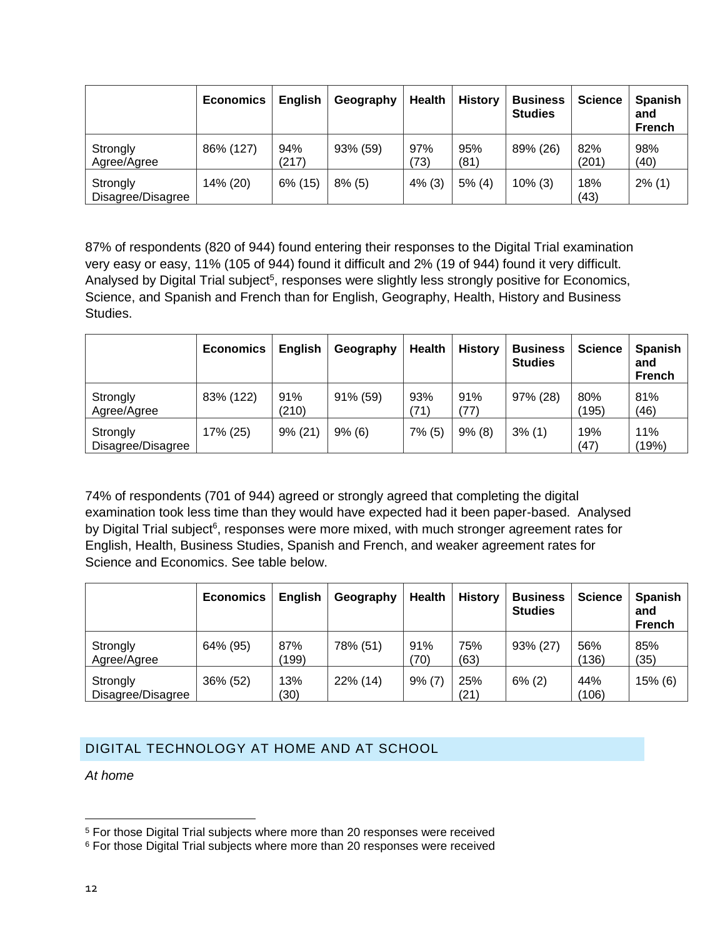|                               | <b>Economics</b> | <b>English</b> | Geography | <b>Health</b> | <b>History</b> | <b>Business</b><br><b>Studies</b> | <b>Science</b> | <b>Spanish</b><br>and<br><b>French</b> |
|-------------------------------|------------------|----------------|-----------|---------------|----------------|-----------------------------------|----------------|----------------------------------------|
| Strongly<br>Agree/Agree       | 86% (127)        | 94%<br>(217)   | 93% (59)  | 97%<br>73)    | 95%<br>(81)    | 89% (26)                          | 82%<br>(201)   | 98%<br>(40)                            |
| Strongly<br>Disagree/Disagree | 14% (20)         | $6\%$ (15)     | $8\%$ (5) | 4% (3)        | 5% (4)         | $10\%$ (3)                        | 18%<br>(43)    | $2\%$ (1)                              |

87% of respondents (820 of 944) found entering their responses to the Digital Trial examination very easy or easy, 11% (105 of 944) found it difficult and 2% (19 of 944) found it very difficult. Analysed by Digital Trial subject<sup>5</sup>, responses were slightly less strongly positive for Economics, Science, and Spanish and French than for English, Geography, Health, History and Business Studies.

|                               | <b>Economics</b> | English      | Geography   | <b>Health</b> | <b>History</b> | <b>Business</b><br><b>Studies</b> | <b>Science</b> | <b>Spanish</b><br>and<br><b>French</b> |
|-------------------------------|------------------|--------------|-------------|---------------|----------------|-----------------------------------|----------------|----------------------------------------|
| Strongly<br>Agree/Agree       | 83% (122)        | 91%<br>(210) | $91\%$ (59) | 93%<br>71)    | 91%<br>(77)    | 97% (28)                          | 80%<br>(195)   | 81%<br>(46)                            |
| Strongly<br>Disagree/Disagree | 17% (25)         | $9\%$ (21)   | 9% (6)      | $7\%$ (5)     | 9% (8)         | 3% (1)                            | 19%<br>(47)    | 11%<br>(19%)                           |

74% of respondents (701 of 944) agreed or strongly agreed that completing the digital examination took less time than they would have expected had it been paper-based. Analysed by Digital Trial subject<sup>6</sup>, responses were more mixed, with much stronger agreement rates for English, Health, Business Studies, Spanish and French, and weaker agreement rates for Science and Economics. See table below.

|                               | <b>Economics</b> | <b>English</b> | Geography | <b>Health</b> | <b>History</b> | <b>Business</b><br><b>Studies</b> | <b>Science</b> | <b>Spanish</b><br>and<br><b>French</b> |
|-------------------------------|------------------|----------------|-----------|---------------|----------------|-----------------------------------|----------------|----------------------------------------|
| Strongly<br>Agree/Agree       | 64% (95)         | 87%<br>(199)   | 78% (51)  | 91%<br>(70)   | 75%<br>(63)    | 93% (27)                          | 56%<br>(136)   | 85%<br>(35)                            |
| Strongly<br>Disagree/Disagree | 36% (52)         | 13%<br>(30)    | 22% (14)  | 9% (7)        | 25%<br>(21)    | $6\%$ (2)                         | 44%<br>(106)   | $15%$ (6)                              |

# DIGITAL TECHNOLOGY AT HOME AND AT SCHOOL

*At home*

 $\overline{a}$ 

<sup>5</sup> For those Digital Trial subjects where more than 20 responses were received

<sup>&</sup>lt;sup>6</sup> For those Digital Trial subjects where more than 20 responses were received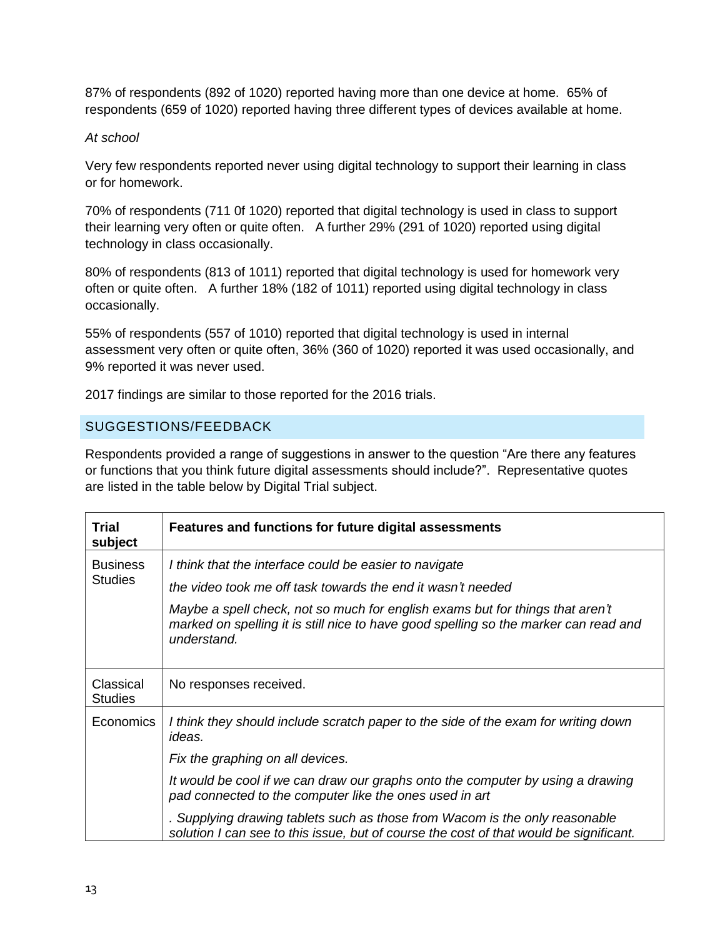87% of respondents (892 of 1020) reported having more than one device at home. 65% of respondents (659 of 1020) reported having three different types of devices available at home.

## *At school*

Very few respondents reported never using digital technology to support their learning in class or for homework.

70% of respondents (711 0f 1020) reported that digital technology is used in class to support their learning very often or quite often. A further 29% (291 of 1020) reported using digital technology in class occasionally.

80% of respondents (813 of 1011) reported that digital technology is used for homework very often or quite often. A further 18% (182 of 1011) reported using digital technology in class occasionally.

55% of respondents (557 of 1010) reported that digital technology is used in internal assessment very often or quite often, 36% (360 of 1020) reported it was used occasionally, and 9% reported it was never used.

2017 findings are similar to those reported for the 2016 trials.

# SUGGESTIONS/FEEDBACK

Respondents provided a range of suggestions in answer to the question "Are there any features or functions that you think future digital assessments should include?". Representative quotes are listed in the table below by Digital Trial subject.

| <b>Trial</b><br>subject     | Features and functions for future digital assessments                                                                                                                                |
|-----------------------------|--------------------------------------------------------------------------------------------------------------------------------------------------------------------------------------|
| <b>Business</b>             | I think that the interface could be easier to navigate                                                                                                                               |
| <b>Studies</b>              | the video took me off task towards the end it wasn't needed                                                                                                                          |
|                             | Maybe a spell check, not so much for english exams but for things that aren't<br>marked on spelling it is still nice to have good spelling so the marker can read and<br>understand. |
| Classical<br><b>Studies</b> | No responses received.                                                                                                                                                               |
| <b>Economics</b>            | I think they should include scratch paper to the side of the exam for writing down<br>ideas.                                                                                         |
|                             | Fix the graphing on all devices.                                                                                                                                                     |
|                             | It would be cool if we can draw our graphs onto the computer by using a drawing<br>pad connected to the computer like the ones used in art                                           |
|                             | . Supplying drawing tablets such as those from Wacom is the only reasonable<br>solution I can see to this issue, but of course the cost of that would be significant.                |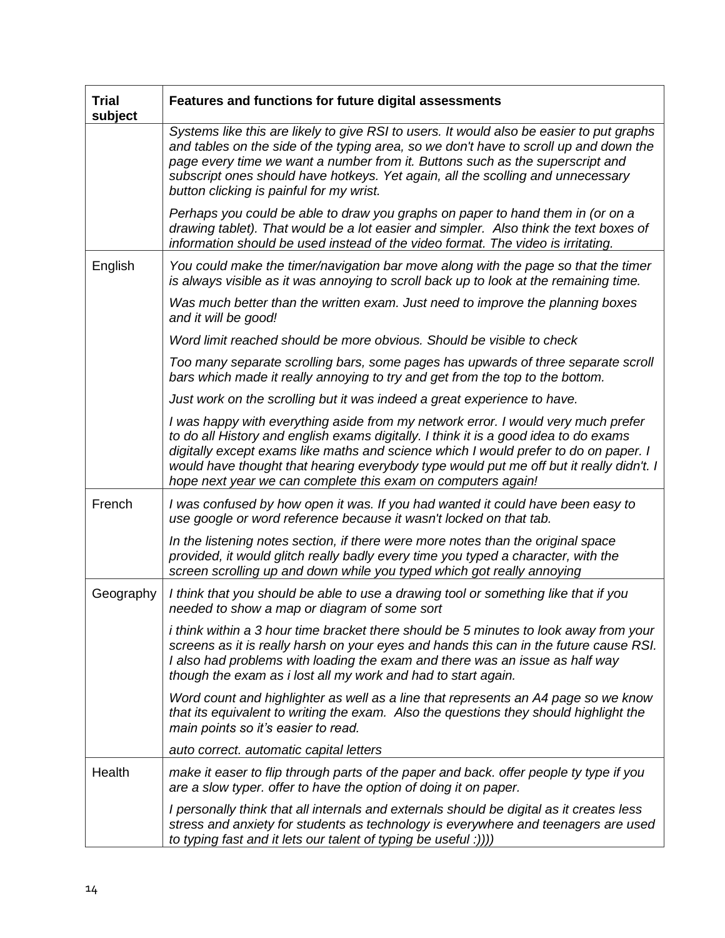| <b>Trial</b><br>subject | Features and functions for future digital assessments                                                                                                                                                                                                                                                                                                                                                                        |
|-------------------------|------------------------------------------------------------------------------------------------------------------------------------------------------------------------------------------------------------------------------------------------------------------------------------------------------------------------------------------------------------------------------------------------------------------------------|
|                         | Systems like this are likely to give RSI to users. It would also be easier to put graphs<br>and tables on the side of the typing area, so we don't have to scroll up and down the<br>page every time we want a number from it. Buttons such as the superscript and<br>subscript ones should have hotkeys. Yet again, all the scolling and unnecessary<br>button clicking is painful for my wrist.                            |
|                         | Perhaps you could be able to draw you graphs on paper to hand them in (or on a<br>drawing tablet). That would be a lot easier and simpler. Also think the text boxes of<br>information should be used instead of the video format. The video is irritating.                                                                                                                                                                  |
| English                 | You could make the timer/navigation bar move along with the page so that the timer<br>is always visible as it was annoying to scroll back up to look at the remaining time.                                                                                                                                                                                                                                                  |
|                         | Was much better than the written exam. Just need to improve the planning boxes<br>and it will be good!                                                                                                                                                                                                                                                                                                                       |
|                         | Word limit reached should be more obvious. Should be visible to check                                                                                                                                                                                                                                                                                                                                                        |
|                         | Too many separate scrolling bars, some pages has upwards of three separate scroll<br>bars which made it really annoying to try and get from the top to the bottom.                                                                                                                                                                                                                                                           |
|                         | Just work on the scrolling but it was indeed a great experience to have.                                                                                                                                                                                                                                                                                                                                                     |
|                         | I was happy with everything aside from my network error. I would very much prefer<br>to do all History and english exams digitally. I think it is a good idea to do exams<br>digitally except exams like maths and science which I would prefer to do on paper. I<br>would have thought that hearing everybody type would put me off but it really didn't. I<br>hope next year we can complete this exam on computers again! |
| French                  | I was confused by how open it was. If you had wanted it could have been easy to<br>use google or word reference because it wasn't locked on that tab.                                                                                                                                                                                                                                                                        |
|                         | In the listening notes section, if there were more notes than the original space<br>provided, it would glitch really badly every time you typed a character, with the<br>screen scrolling up and down while you typed which got really annoying                                                                                                                                                                              |
| Geography               | I think that you should be able to use a drawing tool or something like that if you<br>needed to show a map or diagram of some sort                                                                                                                                                                                                                                                                                          |
|                         | <i>i</i> think within a 3 hour time bracket there should be 5 minutes to look away from your<br>screens as it is really harsh on your eyes and hands this can in the future cause RSI.<br>I also had problems with loading the exam and there was an issue as half way<br>though the exam as i lost all my work and had to start again.                                                                                      |
|                         | Word count and highlighter as well as a line that represents an A4 page so we know<br>that its equivalent to writing the exam. Also the questions they should highlight the<br>main points so it's easier to read.                                                                                                                                                                                                           |
|                         | auto correct. automatic capital letters                                                                                                                                                                                                                                                                                                                                                                                      |
| Health                  | make it easer to flip through parts of the paper and back. offer people ty type if you<br>are a slow typer. offer to have the option of doing it on paper.                                                                                                                                                                                                                                                                   |
|                         | I personally think that all internals and externals should be digital as it creates less<br>stress and anxiety for students as technology is everywhere and teenagers are used<br>to typing fast and it lets our talent of typing be useful :)))                                                                                                                                                                             |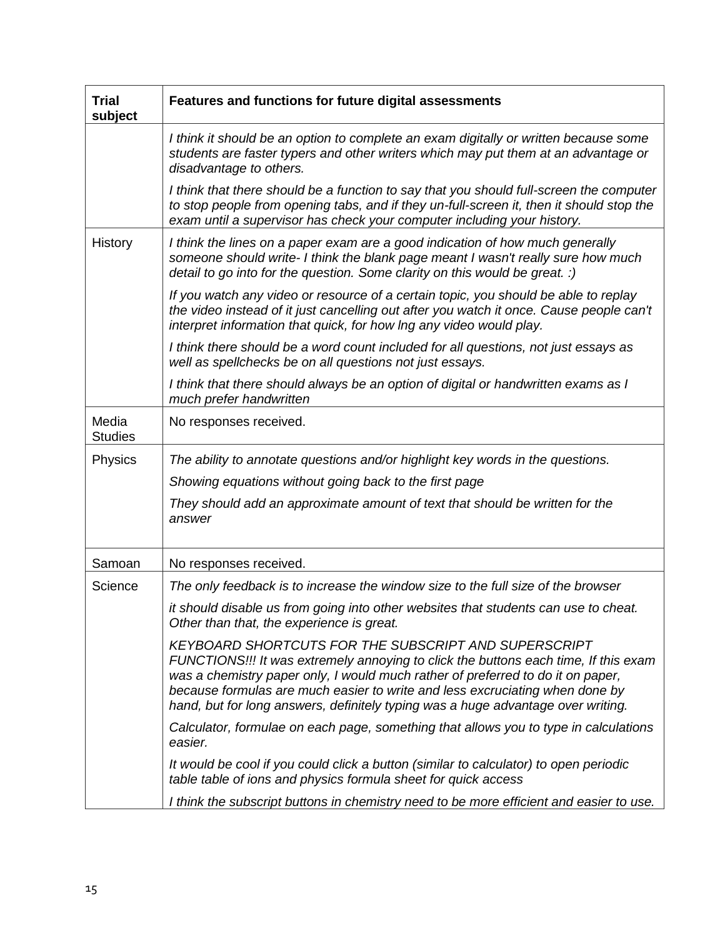| <b>Trial</b><br>subject | Features and functions for future digital assessments                                                                                                                                                                                                                                                                                                                                                     |
|-------------------------|-----------------------------------------------------------------------------------------------------------------------------------------------------------------------------------------------------------------------------------------------------------------------------------------------------------------------------------------------------------------------------------------------------------|
|                         | I think it should be an option to complete an exam digitally or written because some<br>students are faster typers and other writers which may put them at an advantage or<br>disadvantage to others.                                                                                                                                                                                                     |
|                         | I think that there should be a function to say that you should full-screen the computer<br>to stop people from opening tabs, and if they un-full-screen it, then it should stop the<br>exam until a supervisor has check your computer including your history.                                                                                                                                            |
| History                 | I think the lines on a paper exam are a good indication of how much generally<br>someone should write- I think the blank page meant I wasn't really sure how much<br>detail to go into for the question. Some clarity on this would be great. :)                                                                                                                                                          |
|                         | If you watch any video or resource of a certain topic, you should be able to replay<br>the video instead of it just cancelling out after you watch it once. Cause people can't<br>interpret information that quick, for how Ing any video would play.                                                                                                                                                     |
|                         | I think there should be a word count included for all questions, not just essays as<br>well as spellchecks be on all questions not just essays.                                                                                                                                                                                                                                                           |
|                         | I think that there should always be an option of digital or handwritten exams as I<br>much prefer handwritten                                                                                                                                                                                                                                                                                             |
| Media<br><b>Studies</b> | No responses received.                                                                                                                                                                                                                                                                                                                                                                                    |
| Physics                 | The ability to annotate questions and/or highlight key words in the questions.                                                                                                                                                                                                                                                                                                                            |
|                         | Showing equations without going back to the first page                                                                                                                                                                                                                                                                                                                                                    |
|                         | They should add an approximate amount of text that should be written for the<br>answer                                                                                                                                                                                                                                                                                                                    |
| Samoan                  | No responses received.                                                                                                                                                                                                                                                                                                                                                                                    |
| Science                 | The only feedback is to increase the window size to the full size of the browser                                                                                                                                                                                                                                                                                                                          |
|                         | it should disable us from going into other websites that students can use to cheat.<br>Other than that, the experience is great.                                                                                                                                                                                                                                                                          |
|                         | <b>KEYBOARD SHORTCUTS FOR THE SUBSCRIPT AND SUPERSCRIPT</b><br>FUNCTIONS!!! It was extremely annoying to click the buttons each time, If this exam<br>was a chemistry paper only, I would much rather of preferred to do it on paper,<br>because formulas are much easier to write and less excruciating when done by<br>hand, but for long answers, definitely typing was a huge advantage over writing. |
|                         | Calculator, formulae on each page, something that allows you to type in calculations<br>easier.                                                                                                                                                                                                                                                                                                           |
|                         | It would be cool if you could click a button (similar to calculator) to open periodic<br>table table of ions and physics formula sheet for quick access                                                                                                                                                                                                                                                   |
|                         | I think the subscript buttons in chemistry need to be more efficient and easier to use.                                                                                                                                                                                                                                                                                                                   |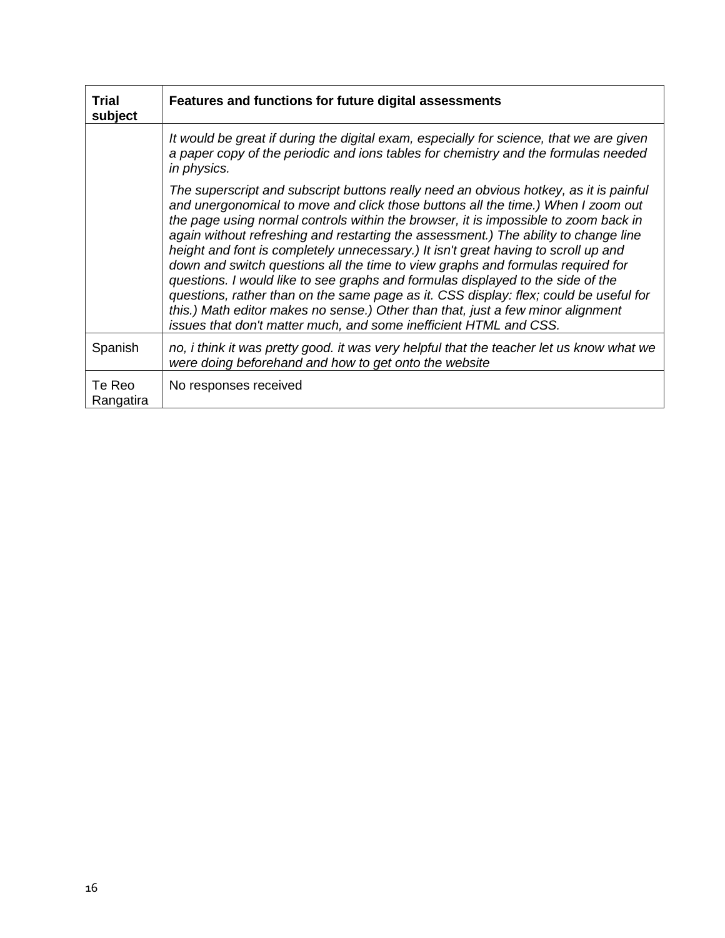| <b>Trial</b><br>subject | Features and functions for future digital assessments                                                                                                                                                                                                                                                                                                                                                                                                                                                                                                                                                                                                                                                                                                                                                                                                                |
|-------------------------|----------------------------------------------------------------------------------------------------------------------------------------------------------------------------------------------------------------------------------------------------------------------------------------------------------------------------------------------------------------------------------------------------------------------------------------------------------------------------------------------------------------------------------------------------------------------------------------------------------------------------------------------------------------------------------------------------------------------------------------------------------------------------------------------------------------------------------------------------------------------|
|                         | It would be great if during the digital exam, especially for science, that we are given<br>a paper copy of the periodic and ions tables for chemistry and the formulas needed<br>in physics.                                                                                                                                                                                                                                                                                                                                                                                                                                                                                                                                                                                                                                                                         |
|                         | The superscript and subscript buttons really need an obvious hotkey, as it is painful<br>and unergonomical to move and click those buttons all the time.) When I zoom out<br>the page using normal controls within the browser, it is impossible to zoom back in<br>again without refreshing and restarting the assessment.) The ability to change line<br>height and font is completely unnecessary.) It isn't great having to scroll up and<br>down and switch questions all the time to view graphs and formulas required for<br>questions. I would like to see graphs and formulas displayed to the side of the<br>questions, rather than on the same page as it. CSS display: flex; could be useful for<br>this.) Math editor makes no sense.) Other than that, just a few minor alignment<br>issues that don't matter much, and some inefficient HTML and CSS. |
| Spanish                 | no, i think it was pretty good. it was very helpful that the teacher let us know what we<br>were doing beforehand and how to get onto the website                                                                                                                                                                                                                                                                                                                                                                                                                                                                                                                                                                                                                                                                                                                    |
| Te Reo<br>Rangatira     | No responses received                                                                                                                                                                                                                                                                                                                                                                                                                                                                                                                                                                                                                                                                                                                                                                                                                                                |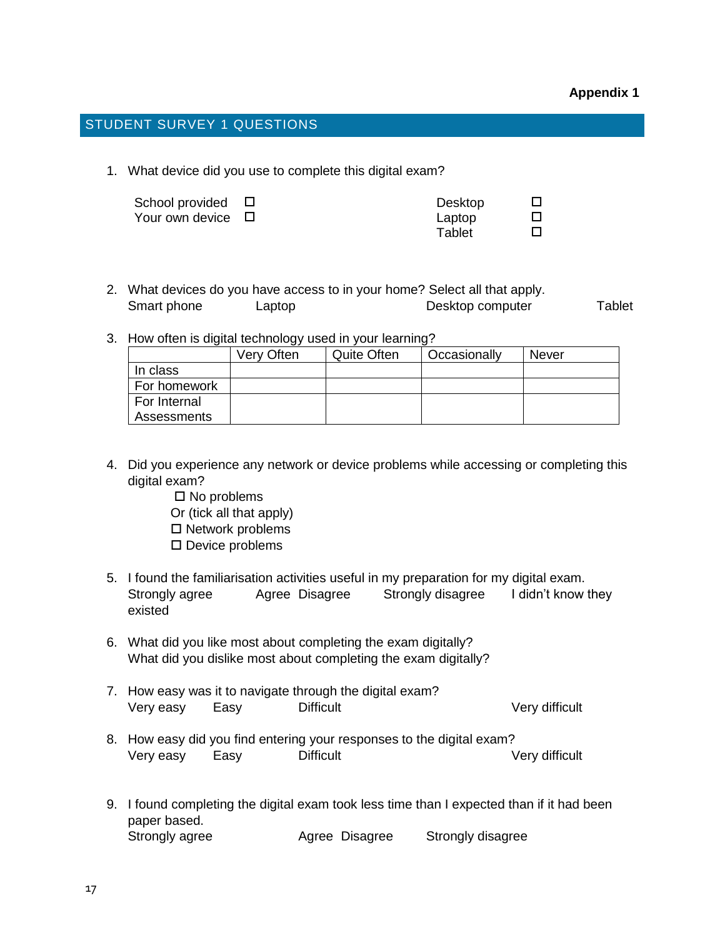# STUDENT SURVEY 1 QUESTIONS

1. What device did you use to complete this digital exam?

| School provided $\Box$ | Desktop |  |
|------------------------|---------|--|
| Your own device □      | Laptop  |  |
|                        | Tablet  |  |

|             | 2. What devices do you have access to in your home? Select all that apply. |                  |        |
|-------------|----------------------------------------------------------------------------|------------------|--------|
| Smart phone | Laptop                                                                     | Desktop computer | Tablet |

3. How often is digital technology used in your learning?

|              | Very Often | <b>Quite Often</b> | Occasionally | <b>Never</b> |
|--------------|------------|--------------------|--------------|--------------|
| In class     |            |                    |              |              |
| For homework |            |                    |              |              |
| For Internal |            |                    |              |              |
| Assessments  |            |                    |              |              |

- 4. Did you experience any network or device problems while accessing or completing this digital exam?
	- $\square$  No problems
	- Or (tick all that apply)
	- $\square$  Network problems
	- $\square$  Device problems
- 5. I found the familiarisation activities useful in my preparation for my digital exam. Strongly agree Agree Disagree Strongly disagree I didn't know they existed
- 6. What did you like most about completing the exam digitally? What did you dislike most about completing the exam digitally?
- 7. How easy was it to navigate through the digital exam? Very easy Easy Difficult Very difficult
- 8. How easy did you find entering your responses to the digital exam? Very easy Easy Difficult Very difficult
- 9. I found completing the digital exam took less time than I expected than if it had been paper based. Strongly agree Agree Disagree Strongly disagree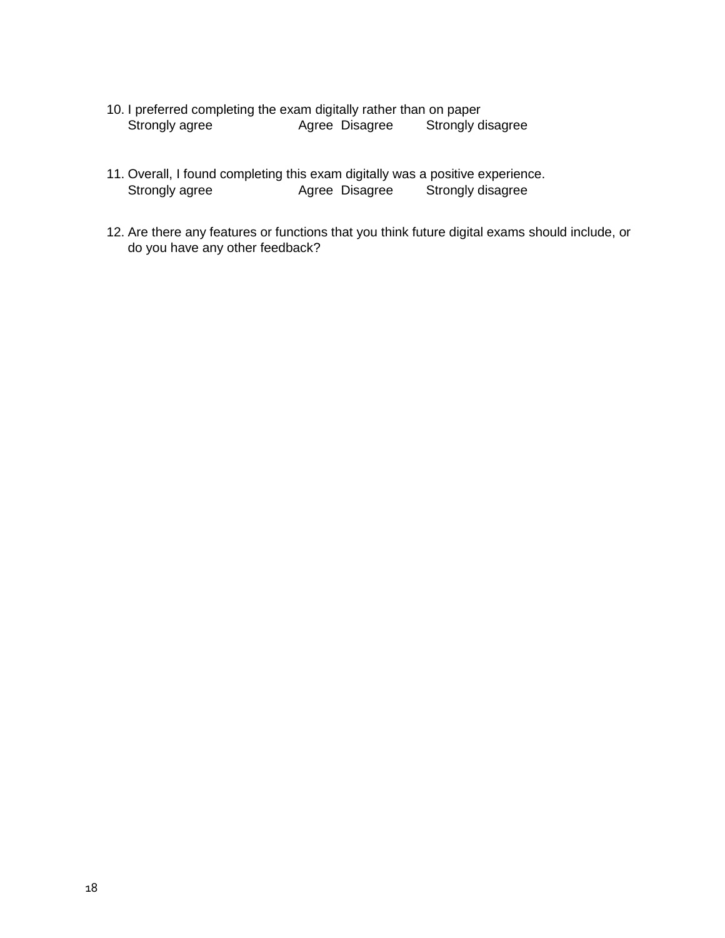- 10. I preferred completing the exam digitally rather than on paper<br>Strongly agree Bisagree Strongly d Strongly agree **Agree Disagree** Strongly disagree
- 11. Overall, I found completing this exam digitally was a positive experience. Strongly agree Agree Disagree Strongly disagree
- 12. Are there any features or functions that you think future digital exams should include, or do you have any other feedback?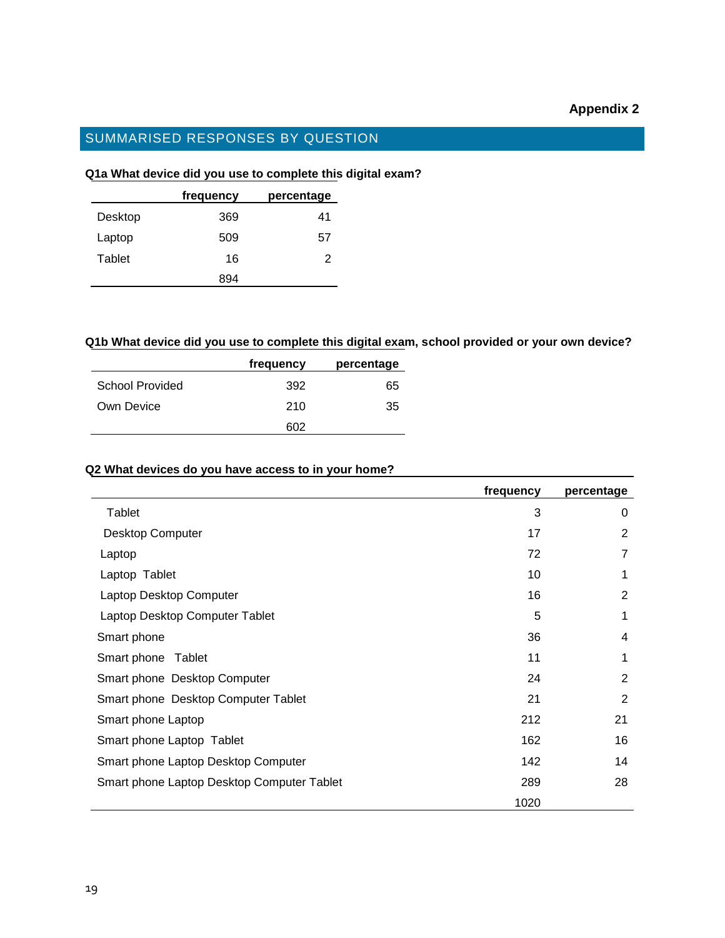# **Appendix 2**

# SUMMARISED RESPONSES BY QUESTION

# **Q1a What device did you use to complete this digital exam?**

|         | frequency | percentage |
|---------|-----------|------------|
| Desktop | 369       | 41         |
| Laptop  | 509       | 57         |
| Tablet  | 16        | 2          |
|         | 894       |            |

#### **Q1b What device did you use to complete this digital exam, school provided or your own device?**

|                 | frequency | percentage |
|-----------------|-----------|------------|
| School Provided | 392       | 65         |
| Own Device      | 210       | 35         |
|                 | 602       |            |

#### **Q2 What devices do you have access to in your home?**

|                                            | frequency | percentage     |
|--------------------------------------------|-----------|----------------|
| Tablet                                     | 3         | $\Omega$       |
| <b>Desktop Computer</b>                    | 17        | 2              |
| Laptop                                     | 72        | $\overline{7}$ |
| Laptop Tablet                              | 10        | 1              |
| Laptop Desktop Computer                    | 16        | 2              |
| Laptop Desktop Computer Tablet             | 5         | 1              |
| Smart phone                                | 36        | 4              |
| Smart phone<br>Tablet                      | 11        | 1              |
| Smart phone Desktop Computer               | 24        | 2              |
| Smart phone Desktop Computer Tablet        | 21        | 2              |
| Smart phone Laptop                         | 212       | 21             |
| Smart phone Laptop Tablet                  | 162       | 16             |
| Smart phone Laptop Desktop Computer        | 142       | 14             |
| Smart phone Laptop Desktop Computer Tablet | 289       | 28             |
|                                            | 1020      |                |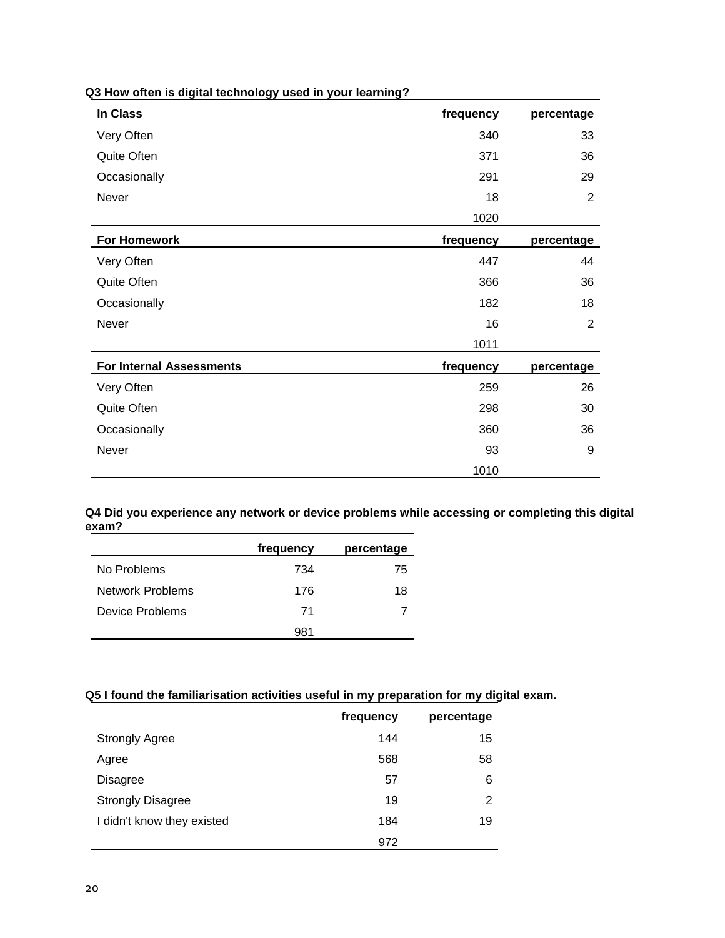| In Class                        | frequency | percentage     |
|---------------------------------|-----------|----------------|
| Very Often                      | 340       | 33             |
| Quite Often                     | 371       | 36             |
| Occasionally                    | 291       | 29             |
| Never                           | 18        | $\overline{2}$ |
|                                 | 1020      |                |
| <b>For Homework</b>             | frequency | percentage     |
| Very Often                      | 447       | 44             |
| Quite Often                     | 366       | 36             |
| Occasionally                    | 182       | 18             |
| Never                           | 16        | $\overline{2}$ |
|                                 | 1011      |                |
| <b>For Internal Assessments</b> | frequency | percentage     |
| Very Often                      | 259       | 26             |
| Quite Often                     | 298       | 30             |
| Occasionally                    | 360       | 36             |
| Never                           | 93        | 9              |
|                                 | 1010      |                |

#### **Q3 How often is digital technology used in your learning?**

**Q4 Did you experience any network or device problems while accessing or completing this digital exam?**

|                  | frequency | percentage |
|------------------|-----------|------------|
| No Problems      | 734       | 75         |
| Network Problems | 176       | 18         |
| Device Problems  | 71        |            |
|                  | 981       |            |

# **Q5 I found the familiarisation activities useful in my preparation for my digital exam.**

|                            | frequency | percentage |
|----------------------------|-----------|------------|
| <b>Strongly Agree</b>      | 144       | 15         |
| Agree                      | 568       | 58         |
| <b>Disagree</b>            | 57        | 6          |
| <b>Strongly Disagree</b>   | 19        | 2          |
| I didn't know they existed | 184       | 19         |
|                            | 972       |            |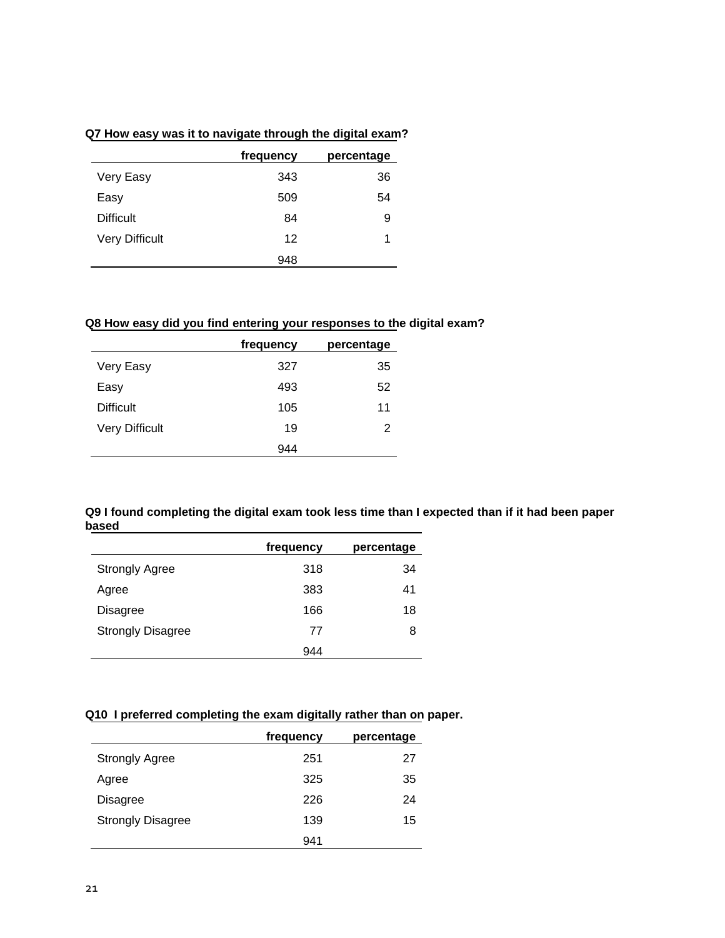# **Q7 How easy was it to navigate through the digital exam?**

|                       | frequency | percentage |
|-----------------------|-----------|------------|
| Very Easy             | 343       | 36         |
| Easy                  | 509       | 54         |
| <b>Difficult</b>      | 84        | 9          |
| <b>Very Difficult</b> | 12        | 1          |
|                       | 948       |            |

# **Q8 How easy did you find entering your responses to the digital exam?**

|                       | frequency | percentage |
|-----------------------|-----------|------------|
| Very Easy             | 327       | 35         |
| Easy                  | 493       | 52         |
| <b>Difficult</b>      | 105       | 11         |
| <b>Very Difficult</b> | 19        | 2          |
|                       | 944       |            |

#### **Q9 I found completing the digital exam took less time than I expected than if it had been paper based**

|                          | frequency | percentage |
|--------------------------|-----------|------------|
| <b>Strongly Agree</b>    | 318       | 34         |
| Agree                    | 383       | 41         |
| <b>Disagree</b>          | 166       | 18         |
| <b>Strongly Disagree</b> | 77        | 8          |
|                          | 944       |            |

# **Q10 I preferred completing the exam digitally rather than on paper.**

|                          | frequency | percentage |
|--------------------------|-----------|------------|
| <b>Strongly Agree</b>    | 251       | 27         |
| Agree                    | 325       | 35         |
| Disagree                 | 226       | 24         |
| <b>Strongly Disagree</b> | 139       | 15         |
|                          | 941       |            |